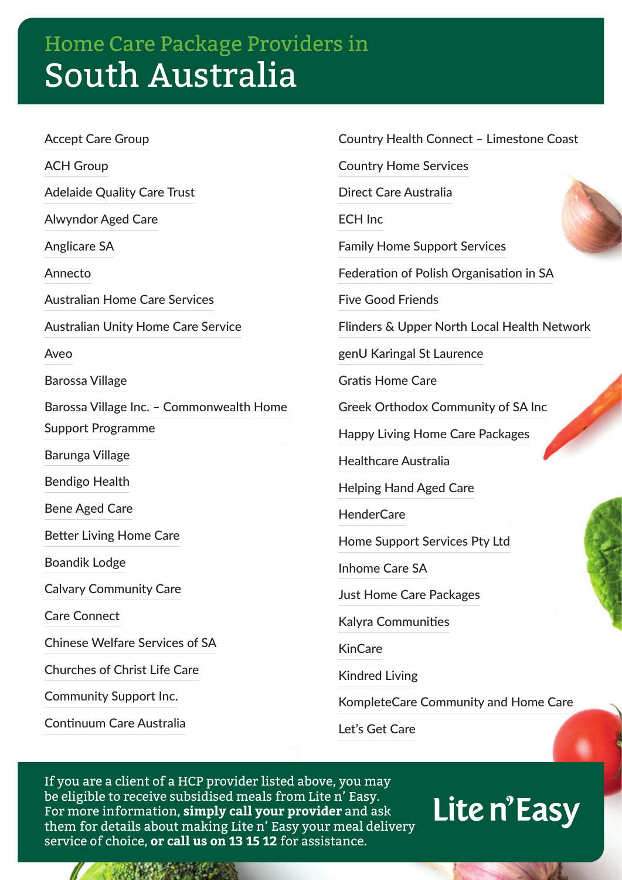## Home Care Package Providers in South Australia

Accept Care Group ACH Group Adelaide Quality Care Trust Alwyndor Aged Care Anglicare SA Annecto Australian Home Care Services Australian Unity Home Care Service Aveo Barossa Village Barossa Village Inc. – Commonwealth Home Support Programme Barunga Village Bendigo Health Bene Aged Care Better Living Home Care Boandik Lodge Calvary Community Care Care Connect Chinese Welfare Services of SA Churches of Christ Life Care Community Support Inc.

Continuum Care Australia

Country Health Connect – Limestone Coast

Country Home Services

Direct Care Australia

ECH Inc

Family Home Support Services

Federation of Polish Organisation in SA

Five Good Friends

Flinders & Upper North Local Health Network

genU Karingal St Laurence

Gratis Home Care

Greek Orthodox Community of SA Inc

Happy Living Home Care Packages

Healthcare Australia

Helping Hand Aged Care

HenderCare

Home Support Services Pty Ltd

Inhome Care SA

Just Home Care Packages

Kalyra Communities

KinCare

Kindred Living

KompleteCare Community and Home Care

Let's Get Care

If you are a client of a HCP provider listed above, you may be eligible to receive subsidised meals from Lite n' Easy. For more information, **simply call your provider** and ask them for details about making Lite n' Easy your meal delivery service of choice, **or call us on 13 15 12** for assistance.

## Lite n'Easy